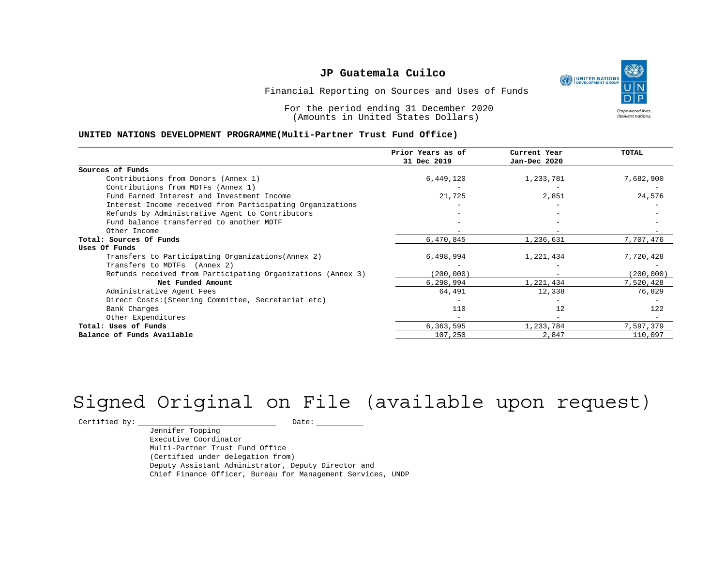

Financial Reporting on Sources and Uses of Funds

For the period ending 31 December 2020 (Amounts in United States Dollars)

#### **UNITED NATIONS DEVELOPMENT PROGRAMME(Multi-Partner Trust Fund Office)**

|                                                             | Prior Years as of | Current Year                 | <b>TOTAL</b> |
|-------------------------------------------------------------|-------------------|------------------------------|--------------|
|                                                             | 31 Dec 2019       | Jan-Dec 2020                 |              |
| Sources of Funds                                            |                   |                              |              |
| Contributions from Donors (Annex 1)                         | 6,449,120         | 1,233,781                    | 7,682,900    |
| Contributions from MDTFs (Annex 1)                          |                   |                              |              |
| Fund Earned Interest and Investment Income                  | 21,725            | 2,851                        | 24,576       |
| Interest Income received from Participating Organizations   |                   |                              |              |
| Refunds by Administrative Agent to Contributors             |                   |                              |              |
| Fund balance transferred to another MDTF                    |                   |                              |              |
| Other Income                                                |                   |                              |              |
| Total: Sources Of Funds                                     | 6,470,845         | 1,236,631                    | 7,707,476    |
| Uses Of Funds                                               |                   |                              |              |
| Transfers to Participating Organizations (Annex 2)          | 6,498,994         | 1,221,434                    | 7,720,428    |
| Transfers to MDTFs (Annex 2)                                |                   |                              |              |
| Refunds received from Participating Organizations (Annex 3) | (200, 000)        | $\qquad \qquad \blacksquare$ | (200, 000)   |
| Net Funded Amount                                           | 6,298,994         | 1,221,434                    | 7,520,428    |
| Administrative Agent Fees                                   | 64,491            | 12,338                       | 76,829       |
| Direct Costs: (Steering Committee, Secretariat etc)         |                   |                              |              |
| Bank Charges                                                | 110               | 12                           | 122          |
| Other Expenditures                                          |                   |                              |              |
| Total: Uses of Funds                                        | 6,363,595         | 1,233,784                    | 7,597,379    |
| Balance of Funds Available                                  | 107,250           | 2,847                        | 110,097      |

# Signed Original on File (available upon request)

 $\begin{tabular}{ccccc} \multicolumn{2}{c|}{\textbf{Certified by:}\quad} & \multicolumn{2}{c|}{\textbf{Date:}\quad} \end{tabular}$ 

Jennifer Topping Executive Coordinator Multi-Partner Trust Fund Office (Certified under delegation from) Deputy Assistant Administrator, Deputy Director and Chief Finance Officer, Bureau for Management Services, UNDP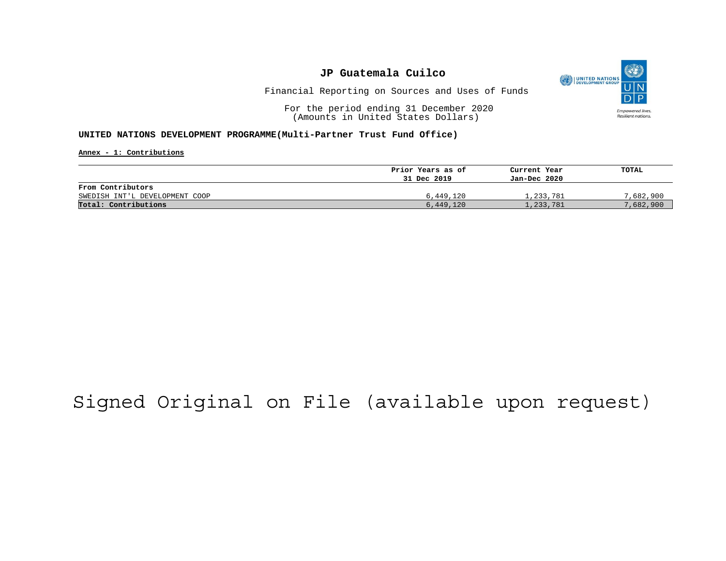

Financial Reporting on Sources and Uses of Funds

For the period ending 31 December 2020 (Amounts in United States Dollars)

#### **UNITED NATIONS DEVELOPMENT PROGRAMME(Multi-Partner Trust Fund Office)**

**Annex - 1: Contributions**

|                                | Prior Years as of | Current Year | TOTAL     |
|--------------------------------|-------------------|--------------|-----------|
|                                | 31 Dec 2019       | Jan-Dec 2020 |           |
| From Contributors              |                   |              |           |
| SWEDISH INT'L DEVELOPMENT COOP | 6,449,120         | 1,233,781    | 7,682,900 |
| Total: Contributions           | 6,449,120         | 1,233,781    | 7,682,900 |

## Signed Original on File (available upon request)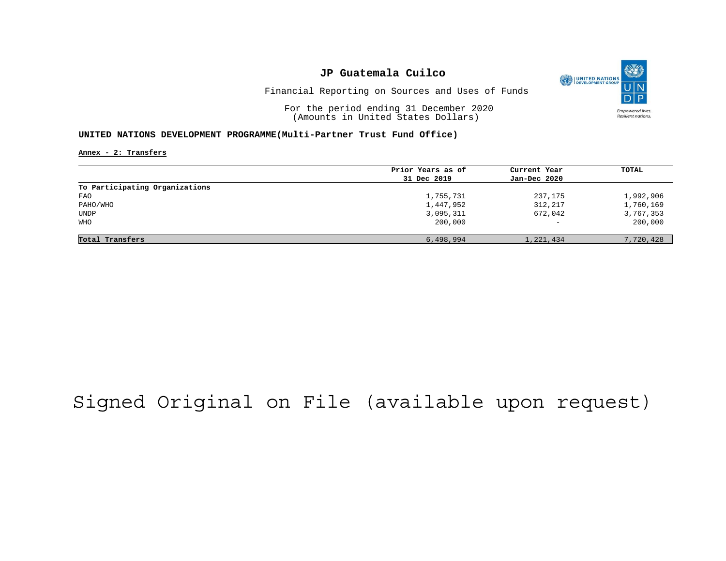

Financial Reporting on Sources and Uses of Funds

For the period ending 31 December 2020 (Amounts in United States Dollars)

#### **UNITED NATIONS DEVELOPMENT PROGRAMME(Multi-Partner Trust Fund Office)**

**Annex - 2: Transfers**

|                                | Prior Years as of | Current Year             | TOTAL     |
|--------------------------------|-------------------|--------------------------|-----------|
|                                | 31 Dec 2019       | Jan-Dec 2020             |           |
| To Participating Organizations |                   |                          |           |
| FAO                            | 1,755,731         | 237,175                  | 1,992,906 |
| PAHO/WHO                       | 1,447,952         | 312,217                  | 1,760,169 |
| UNDP                           | 3,095,311         | 672,042                  | 3,767,353 |
| WHO                            | 200,000           | $\overline{\phantom{0}}$ | 200,000   |
|                                |                   |                          |           |
| Total Transfers                | 6,498,994         | 1,221,434                | 7,720,428 |

# Signed Original on File (available upon request)